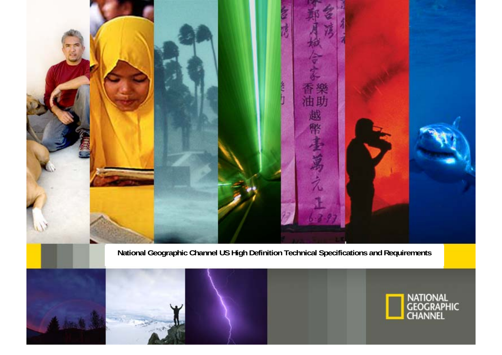

**National Geographic Channel US High Definition Technical Specifications and Requirements** 



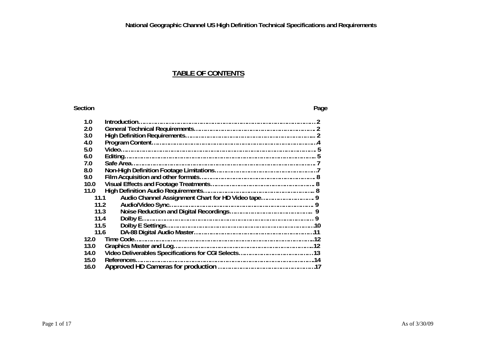## **TABLE OF CONTENTS**

#### **Section Page**

| 1.0  |                                                            |  |  |
|------|------------------------------------------------------------|--|--|
| 2.0  |                                                            |  |  |
| 3.0  |                                                            |  |  |
| 4.0  |                                                            |  |  |
| 5.0  |                                                            |  |  |
| 6.0  |                                                            |  |  |
| 7.0  |                                                            |  |  |
| 8.0  |                                                            |  |  |
| 9.0  |                                                            |  |  |
| 10.0 |                                                            |  |  |
| 11.0 |                                                            |  |  |
|      | Audio Channel Assignment Chart for HD Video tape 9<br>11.1 |  |  |
| 11.2 |                                                            |  |  |
| 11.3 |                                                            |  |  |
| 11.4 |                                                            |  |  |
| 11.5 |                                                            |  |  |
| 11.6 |                                                            |  |  |
| 12.0 |                                                            |  |  |
| 13.0 |                                                            |  |  |
| 14.0 |                                                            |  |  |
| 15.0 |                                                            |  |  |
| 16.0 |                                                            |  |  |
|      |                                                            |  |  |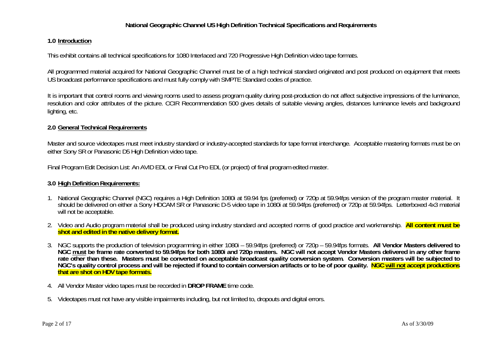#### **1.0 Introduction**

This exhibit contains all technical specifications for 1080 Interlaced and 720 Progressive High Definition video tape formats.

All programmed material acquired for National Geographic Channel must be of a high technical standard originated and post produced on equipment that meets US broadcast performance specifications and must fully comply with SMPTE Standard codes of practice.

It is important that control rooms and viewing rooms used to assess program quality during post-production do not affect subjective impressions of the luminance, resolution and color attributes of the picture. CCIR Recommendation 500 gives details of suitable viewing angles, distances luminance levels and background lighting, etc.

#### **2.0 General Technical Requirements**

Master and source videotapes must meet industry standard or industry-accepted standards for tape format interchange. Acceptable mastering formats must be on either Sony SR or Panasonic D5 High Definition video tape.

Final Program Edit Decision List: An AVID EDL or Final Cut Pro EDL (or project) of final program edited master.

#### **3.0 High Definition Requirements:**

- 1. National Geographic Channel (NGC) requires a High Definition 1080i at 59.94 fps (preferred) or 720p at 59.94fps version of the program master material. It<br>should be delivered on either a Sony HDCAM SR or Panasonic D-5 v will not be acceptable.
- 2. Video and Audio program material shall be produced using industry standard and accepted norms of good practice and workmanship. **All content must be shot and edited in the native delivery format.**
- 3. NGC supports the production of television programming in either 1080i 59.94fps (preferred) or 720p 59.94fps formats. **All Vendor Masters delivered to NGC must be frame rate converted to 59.94fps for both 1080i and 720p masters. NGC will not accept Vendor Masters delivered in any other frame rate other than these. Masters must be converted on acceptable broadcast quality conversion system. Conversion masters will be subjected to NGC's quality control process and will be rejected if found to contain conversion artifacts or to be of poor quality. NGC will not accept productions that are shot on HDV tape formats.**
- 4. All Vendor Master video tapes must be recorded in **DROP FRAME** time code.
- 5. Videotapes must not have any visible impairments including, but not limited to, dropouts and digital errors.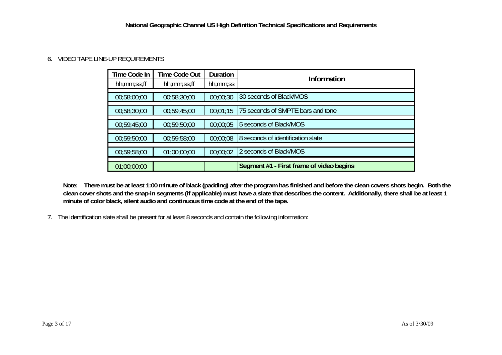## 6. VIDEO TAPE LINE-UP REQUIREMENTS

| Time Code In | <b>Time Code Out</b> | Duration | Information                              |
|--------------|----------------------|----------|------------------------------------------|
| hh;mm;ss;ff  | hh;mm;ss;ff          | hh;mm;ss |                                          |
| 00:58:00:00  | 00:58:30:00          | 00;00;30 | 30 seconds of Black/MOS                  |
| 00;58;30;00  | 00:59:45:00          | 00:01:15 | 75 seconds of SMPTE bars and tone        |
| 00:59:45:00  | 00:59:50:00          | 00:00:05 | 5 seconds of Black/MOS                   |
| 00:59:50:00  | 00:59:58:00          | 00;00;08 | 8 seconds of identification slate        |
| 00:59:58:00  | 01;00;00;00          | 00;00;02 | 2 seconds of Black/MOS                   |
| 01;00;00;00  |                      |          | Segment #1 - First frame of video begins |

**Note: There must be at least 1:00 minute of black (padding) after the program has finished and before the clean covers shots begin. Both the clean cover shots and the snap-in segments (if applicable) must have a slate that describes the content. Additionally, there shall be at least 1 minute of color black, silent audio and continuous time code at the end of the tape.** 

7. The identification slate shall be present for at least 8 seconds and contain the following information: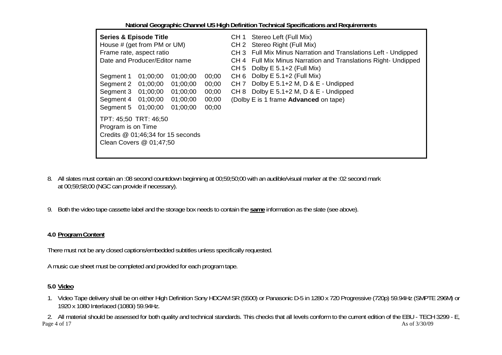| <b>Series &amp; Episode Title</b><br>House # (get from PM or UM)<br>Frame rate, aspect ratio<br>Date and Producer/Editor name                                                                                                      | Stereo Left (Full Mix)<br>CH 1<br>CH 2 Stereo Right (Full Mix)<br>CH 3 Full Mix Minus Narration and Translations Left - Undipped<br>CH 4 Full Mix Minus Narration and Translations Right- Undipped<br>Dolby $E$ 5.1+2 (Full Mix)<br>CH 5 |
|------------------------------------------------------------------------------------------------------------------------------------------------------------------------------------------------------------------------------------|------------------------------------------------------------------------------------------------------------------------------------------------------------------------------------------------------------------------------------------|
| Segment 1<br>01;00;00<br>01;00;00<br>00;00<br>01;00;00<br>Segment 2<br>01;00;00<br>00;00<br>Segment 3<br>01;00;00<br>01;00;00<br>00;00<br>Segment 4<br>01;00;00<br>01;00;00<br>00;00<br>01;00;00<br>01;00;00<br>00;00<br>Segment 5 | Dolby $E$ 5.1+2 (Full Mix)<br>CH <sub>6</sub><br>Dolby E 5.1+2 M, D & E - Undipped<br>CH <sub>7</sub><br>Dolby E 5.1+2 M, D & E - Undipped<br>CH 8<br>(Dolby E is 1 frame Advanced on tape)                                              |
| TPT: 45;50 TRT: 46;50<br>Program is on Time<br>Credits $@$ 01;46;34 for 15 seconds<br>Clean Covers @ 01;47;50                                                                                                                      |                                                                                                                                                                                                                                          |

- 8. All slates must contain an :08 second countdown beginning at 00;59;50;00 with an audible/visual marker at the :02 second mark at 00;59;58;00 (NGC can provide if necessary).
- 9. Both the video tape cassette label and the storage box needs to contain the **same** information as the slate (see above).

## **4.0 Program Content**

There must not be any closed captions/embedded subtitles unless specifically requested.

A music cue sheet must be completed and provided for each program tape.

## **5.0 Video**

1. Video Tape delivery shall be on either High Definition Sony HDCAM SR (5500) or Panasonic D-5 in 1280 x 720 Progressive (720p) 59.94Hz (SMPTE 296M) or 1920 x 1080 Interlaced (1080i) 59.94Hz.

 $\text{Page } 4 \text{ of } 17$  As of  $3/30/09$ 2. All material should be assessed for both quality and technical standards. This checks that all levels conform to the current edition of the EBU - TECH 3299 - E,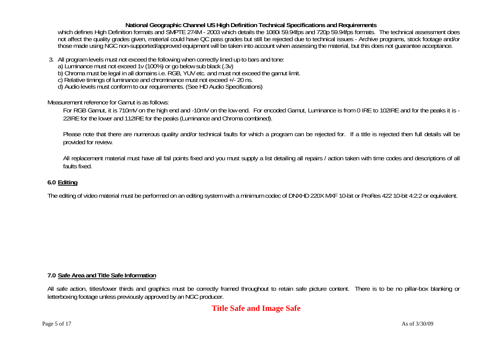which defines High Definition formats and SMPTE 274M - 2003 which details the 1080i 59.94fps and 720p 59.94fps formats. The technical assessment does not affect the quality grades given, material could have QC pass grades but still be rejected due to technical issues - Archive programs, stock footage and/or those made using NGC non-supported/approved equipment will be taken into account when assessing the material, but this does not guarantee acceptance.

- -
- 3. All program levels must not exceed the following when correctly lined up to bars and tone:<br>a) Luminance must not exceed 1v (100%) or go below sub black (.3v)<br>b) Chroma must be legal in all domains i.e. RGB, YUV etc. and
	-
	-

Measurement reference for Gamut is as follows:

For RGB Gamut, it is 710mV on the high end and -10mV on the low end. For encoded Gamut, Luminance is from 0 IRE to 102IRE and for the peaks it is - 22IRE for the lower and 112IRE for the peaks (Luminance and Chroma combined).

Please note that there are numerous quality and/or technical faults for which a program can be rejected for. If a title is rejected then full details will be provided for review.

All replacement material must have all fail points fixed and you must supply a list detailing all repairs / action taken with time codes and descriptions of all faults fixed.

## **6.0 Editing**

The editing of video material must be performed on an editing system with a minimum codec of DNXHD 220X MXF 10-bit or ProRes 422 10-bit 4:2:2 or equivalent.

#### **7.0 Safe Area and Title Safe Information**

All safe action, titles/lower thirds and graphics must be correctly framed throughout to retain safe picture content. There is to be no pillar-box blanking or letterboxing footage unless previously approved by an NGC producer.

# **Title Safe and Image Safe**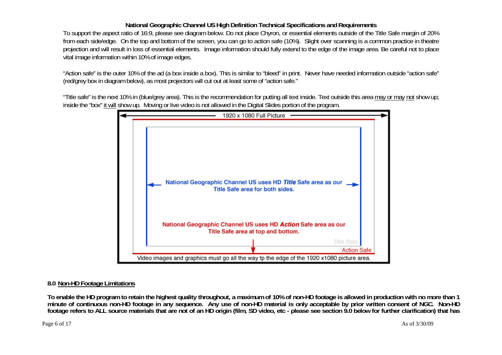To support the aspect ratio of 16:9, please see diagram below. Do not place Chyron, or essential elements outside of the Title Safe margin of 20% from each side/edge. On the top and bottom of the screen, you can go to action safe (10%). Slight over scanning is a common practice in theatre projection and will result in loss of essential elements. Image information should fully extend to the edge of the image area. Be careful not to place vital image information within 10% of image edges.

"Action safe" is the outer 10% of the ad (a box inside a box). This is similar to "bleed" in print. Never have needed information outside "action safe" (red/grey box in diagram below), as most projectors will cut out at least some of "action safe."

"Title safe" is the next 10% in (blue/grey area). This is the recommendation for putting all text inside. Text outside this area may or may not show up; inside the "box" it will show up. Moving or live video is not allowed in the Digital Slides portion of the program.



#### **8.0 Non-HD Footage Limitations**

**To enable the HD program to retain the highest quality throughout, a maximum of 10% of non-HD footage is allowed in production with no more than 1 minute of continuous non-HD footage in any sequence. Any use of non-HD material is only acceptable by prior written consent of NGC. Non-HD footage refers to ALL source materials that are not of an HD origin (film, SD video, etc - please see section 9.0 below for further clarification) that has**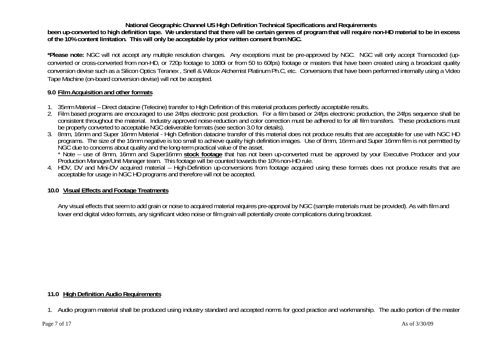**been up-converted to high definition tape. We understand that there will be certain genres of program that will require non-HD material to be in excess of the 10% content limitation. This will only be acceptable by prior written consent from NGC.** 

**\*Please note:** NGC will not accept any multiple resolution changes. Any exceptions must be pre-approved by NGC. NGC will only accept Transcoded (upconverted or cross-converted from non-HD, or 720p footage to 1080i or from 50 to 60fps) footage or masters that have been created using a broadcast quality conversion devise such as a Silicon Optics Teranex , Snell & Wilcox Alchemist Platinum Ph.C, etc. Conversions that have been performed internally using a Video Tape Machine (on-board conversion devise) will not be accepted.

#### **9.0 Film Acquisition and other formats**

- 1. 35mm Material Direct datacine (Telecine) transfer to High Definition of this material produces perfectly acceptable results.
- 2. Film based programs are encouraged to use 24fps electronic post production. For a film based or 24fps electronic production, the 24fps sequence shall be consistent throughout the material. Industry approved noise-reduction and color correction must be adhered to for all film transfers. These productions must<br>be properly converted to acceptable NGC deliverable formats (see
- 3. 8mm, 16mm and Super 16mm Material High Definition datacine transfer of this material does not produce results that are acceptable for use with NGC HD programs. The size of the 16mm negative is too small to achieve quality high definition images. Use of 8mm, 16mm and Super 16mm film is not permitted by NGC due to concerns about quality and the long-term practical value of the asset.

\* Note – use of 8mm, 16mm and Super16mm stock footage that has not been up-converted must be approved by your Executive Producer and your<br>Production Manager/Unit Manager team. This footage will be counted towards the 10% n

4. HDV, DV and Mini-DV acquired material – High-Definition up-conversions from footage acquired using these formats does not produce results that are acceptable for usage in NGC HD programs and therefore will not be accepted.

## **10.0 Visual Effects and Footage Treatments**

Any visual effects that seem to add grain or noise to acquired material requires pre-approval by NGC (sample materials must be provided). As with film and lower end digital video formats, any significant video noise or film grain will potentially create complications during broadcast.

## **11.0 High Definition Audio Requirements**

1. Audio program material shall be produced using industry standard and accepted norms for good practice and workmanship. The audio portion of the master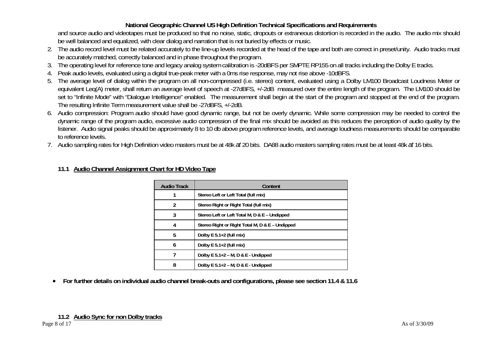and source audio and videotapes must be produced so that no noise, static, dropouts or extraneous distortion is recorded in the audio. The audio mix should be well balanced and equalized, with clear dialog and narration that is not buried by effects or music.

- 2. The audio record level must be related accurately to the line-up levels recorded at the head of the tape and both are correct in preset/unity. Audio tracks must be accurately matched, correctly balanced and in phase throughout the program.
- 3. The operating level for reference tone and legacy analog system calibration is -20dBFS per SMPTE RP155 on all tracks including the Dolby E tracks.
- 4. Peak audio levels, evaluated using a digital true-peak meter with a 0ms rise response, may not rise above -10dBFS.
- 5. The average level of dialog within the program on all non-compressed (i.e. stereo) content, evaluated using a Dolby LM100 Broadcast Loudness Meter or equivalent Leq(A) meter, shall return an average level of speech at -27dBFS, +/-2dB measured over the entire length of the program. The LM100 should be set to "Infinite Mode" with "Dialogue Intelligence" enabled. The measurement shall begin at the start of the program and stopped at the end of the program. The resulting Infinite Term measurement value shall be -27dBFS, +/-2dB.
- 6. Audio compression: Program audio should have good dynamic range, but not be overly dynamic. While some compression may be needed to control the dynamic range of the program audio, excessive audio compression of the final mix should be avoided as this reduces the perception of audio quality by the listener. Audio signal peaks should be approximately 8 to 10 db above program reference levels, and average loudness measurements should be comparable to reference levels.
- 7. Audio sampling rates for High Definition video masters must be at 48k *at* 20 bits. DA88 audio masters sampling rates must be at least 48k *at* 16 bits.

| <b>Audio Track</b> | Content                                         |
|--------------------|-------------------------------------------------|
|                    | Stereo Left or Left Total (full mix)            |
| 2                  | Stereo Right or Right Total (full mix)          |
| 3                  | Stereo Left or Left Total M, D & E - Undipped   |
| 4                  | Stereo Right or Right Total M, D & E - Undipped |
| 5                  | Dolby $E$ 5.1+2 (full mix)                      |
| 6                  | Dolby $E$ 5.1+2 (full mix)                      |
|                    | Dolby E $5.1+2$ – M, D & E - Undipped           |
| 8                  | Dolby E $5.1+2$ – M, D & E - Undipped           |

## **11.1 Audio Channel Assignment Chart for HD Video Tape**

• **For further details on individual audio channel break-outs and configurations, please see section 11.4 & 11.6**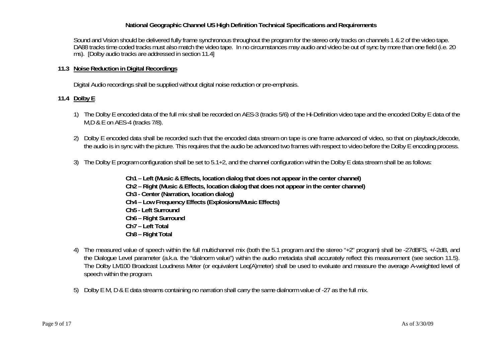Sound and Vision should be delivered fully frame synchronous throughout the program for the stereo only tracks on channels 1 & 2 of the video tape. DA88 tracks time coded tracks must also match the video tape. In no circumstances may audio and video be out of sync by more than one field (i.e. 20 ms). [Dolby audio tracks are addressed in section 11.4]

## **11.3 Noise Reduction in Digital Recordings**

Digital Audio recordings shall be supplied without digital noise reduction or pre-emphasis.

## **11.4 Dolby E**

- 1) The Dolby E encoded data of the full mix shall be recorded on AES-3 (tracks 5/6) of the Hi-Definition video tape and the encoded Dolby E data of the M,D & E on AES-4 (tracks 7/8).
- 2) Dolby E encoded data shall be recorded such that the encoded data stream on tape is one frame advanced of video, so that on playback,/decode, the audio is in sync with the picture. This requires that the audio be advanced two frames with respect to video before the Dolby E encoding process.
- 3) The Dolby E program configuration shall be set to 5.1+2, and the channel configuration within the Dolby E data stream shall be as follows:
	- **Ch1 Left (Music & Effects, location dialog that does not appear in the center channel)**
	- **Ch2 Right (Music & Effects, location dialog that does not appear in the center channel)**
	- **Ch3 Center (Narration, location dialog)**
	- **Ch4 Low Frequency Effects (Explosions/Music Effects)**
	- **Ch5 Left Surround**
	- **Ch6 Right Surround**
	- **Ch7 Left Total**
	- **Ch8 Right Total**
- 4) The measured value of speech within the full multichannel mix (both the 5.1 program and the stereo "+2" program) shall be -27dBFS, +/-2dB, and the Dialogue Level parameter (a.k.a. the "dialnorm value") within the audio metadata shall accurately reflect this measurement (see section 11.5). The Dolby LM100 Broadcast Loudness Meter (or equivalent Leq(A)meter) shall be used to evaluate and measure the average A-weighted level of speech within the program.
- 5) Dolby E M, D & E data streams containing no narration shall carry the same dialnorm value of -27 as the full mix.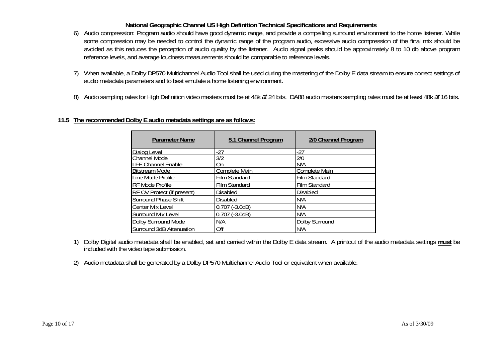- 6) Audio compression: Program audio should have good dynamic range, and provide a compelling surround environment to the home listener. While some compression may be needed to control the dynamic range of the program audio, excessive audio compression of the final mix should be avoided as this reduces the perception of audio quality by the listener. Audio signal peaks should be approximately 8 to 10 db above program reference levels, and average loudness measurements should be comparable to reference levels.
- 7) When available, a Dolby DP570 Multichannel Audio Tool shall be used during the mastering of the Dolby E data stream to ensure correct settings of audio metadata parameters and to best emulate a home listening environment.
- 8) Audio sampling rates for High Definition video masters must be at 48k *at* 24 bits. DA88 audio masters sampling rates must be at least 48k *at* 16 bits.

## **11.5 The recommended Dolby E audio metadata settings are as follows:**

| <b>Parameter Name</b>       | 5.1 Channel Program  | 2/0 Channel Program  |
|-----------------------------|----------------------|----------------------|
| Dialog Level                | -27                  | -27                  |
| <b>Channel Mode</b>         | 3/2                  | 2/0                  |
| <b>LFE Channel Enable</b>   | On                   | N/A                  |
| <b>Bitstream Mode</b>       | <b>Complete Main</b> | <b>Complete Main</b> |
| Line Mode Profile           | Film Standard        | Film Standard        |
| <b>RF Mode Profile</b>      | <b>Film Standard</b> | Film Standard        |
| RF OV Protect (if present)  | Disabled             | <b>Disabled</b>      |
| <b>Surround Phase Shift</b> | <b>Disabled</b>      | N/A                  |
| Center Mix Level            | $0.707$ ( $-3.0dB$ ) | N/A                  |
| Surround Mix Level          | $0.707$ ( $-3.0dB$ ) | N/A                  |
| Dolby Surround Mode         | N/A                  | Dolby Surround       |
| Surround 3dB Attenuation    | Off                  | N/A                  |

- 1) Dolby Digital audio metadata shall be enabled, set and carried within the Dolby E data stream. A printout of the audio metadata settings **must** be included with the video tape submission.
- 2) Audio metadata shall be generated by a Dolby DP570 Multichannel Audio Tool or equivalent when available.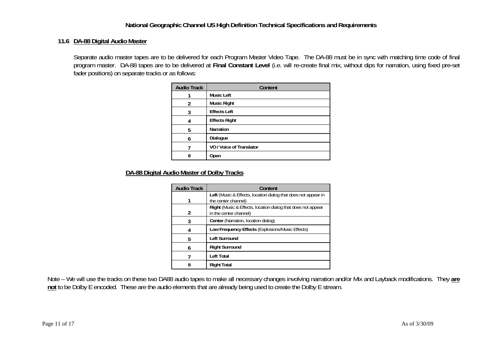#### **11.6 DA-88 Digital Audio Master**

Separate audio master tapes are to be delivered for each Program Master Video Tape. The DA-88 must be in sync with matching time code of final program master. DA-88 tapes are to be delivered at **Final Constant Level** (i.e. will re-create final mix, without dips for narration, using fixed pre-set fader positions) on separate tracks or as follows:

| <b>Audio Track</b> | Content                  |
|--------------------|--------------------------|
|                    | Music Left               |
| 2                  | <b>Music Right</b>       |
| 3                  | <b>Effects Left</b>      |
| 4                  | <b>Effects Right</b>     |
| 5                  | <b>Narration</b>         |
| 6                  | Dialogue                 |
|                    | VO / Voice of Translator |
| 8                  | Open                     |

## **DA-88 Digital Audio Master of Dolby Tracks**

| <b>Audio Track</b> | Content                                                                                |
|--------------------|----------------------------------------------------------------------------------------|
|                    | Left (Music & Effects, location dialog that does not appear in<br>the center channel)  |
| 2                  | Right (Music & Effects, location dialog that does not appear<br>in the center channel) |
| 3                  | Center (Narration, location dialog)                                                    |
| 4                  | Low Frequency Effects (Explosions/Music Effects)                                       |
| 5                  | <b>Left Surround</b>                                                                   |
| 6                  | <b>Right Surround</b>                                                                  |
|                    | Left Total                                                                             |
|                    | <b>Right Total</b>                                                                     |

Note – We will use the tracks on these two DA88 audio tapes to make all necessary changes involving narration and/or Mix and Layback modifications. They **are not** to be Dolby E encoded. These are the audio elements that are already being used to create the Dolby E stream.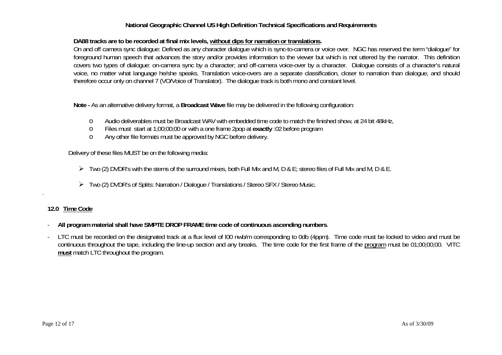#### **DA88 tracks are to be recorded at final mix levels, without dips for narration or translations.**

On and off camera sync dialogue: Defined as any character dialogue which is sync-to-camera or voice over. NGC has reserved the term "dialogue" for foreground human speech that advances the story and/or provides information to the viewer but which is not uttered by the narrator. This definition covers two types of dialogue: on-camera sync by a character; and off-camera voice-over by a character. Dialogue consists of a character's natural voice, no matter what language he/she speaks. Translation voice-overs are a separate classification, closer to narration than dialogue, and should therefore occur only on channel 7 (VO/Voice of Translator). The dialogue track is both mono and constant level.

**Note -** As an alternative delivery format, a **Broadcast Wave** file may be delivered in the following configuration:

- oAudio deliverables must be Broadcast WAV with embedded time code to match the finished show, at 24 bit 48kHz,
- oFiles must start at 1;00;00;00 or with a one frame 2pop at **exactly** :02 before program
- oAny other file formats must be approved by NGC before delivery.

Delivery of these files MUST be on the following media:

- $\triangleright$  Two (2) DVDR's with the stems of the surround mixes, both Full Mix and M, D & E; stereo files of Full Mix and M, D & E.
- ¾ Two (2) DVDR's of Splits: Narration / Dialogue / Translations / Stereo SFX / Stereo Music.

#### **12.0 Time Code**

.

- **All program material shall have SMPTE DROP FRAME time code of continuous ascending numbers**.
- LTC must be recorded on the designated track at a flux level of l00 nwb/m corresponding to 0db (4ppm). Time code must be locked to video and must be continuous throughout the tape, including the line-up section and any breaks. The time code for the first frame of the program must be 01;00;00;00. VITC **must** match LTC throughout the program.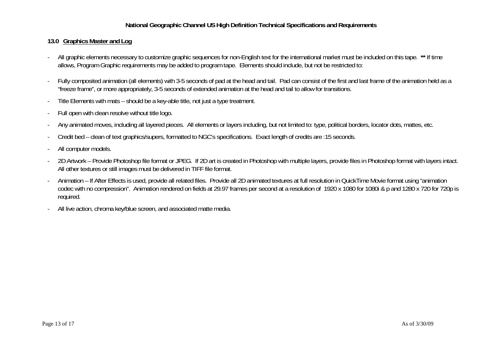## **13.0 Graphics Master and Log**

- All graphic elements necessary to customize graphic sequences for non-English text for the international market must be included on this tape. **\*\*** If time allows, Program Graphic requirements may be added to program tape. Elements should include, but not be restricted to:
- Fully composited animation (all elements) with 3-5 seconds of pad at the head and tail. Pad can consist of the first and last frame of the animation held as a "freeze frame", or more appropriately, 3-5 seconds of extended animation at the head and tail to allow for transitions.
- Title Elements with mats should be a key-able title, not just a type treatment.
- Full open with clean resolve without title logo.
- Any animated moves, including all layered pieces. All elements or layers including, but not limited to: type, political borders, locator dots, mattes, etc.
- Credit bed clean of text graphics/supers, formatted to NGC's specifications. Exact length of credits are :15 seconds.
- All computer models.
- 2D Artwork Provide Photoshop file format or JPEG. If 2D art is created in Photoshop with multiple layers, provide files in Photoshop format with layers intact. All other textures or still images must be delivered in TIFF file format.
- Animation If After Effects is used, provide all related files. Provide all 2D animated textures at full resolution in QuickTime Movie format using "animation codec with no compression". Animation rendered on fields at 29.97 frames per second at a resolution of 1920 x 1080 for 1080i & p and 1280 x 720 for 720p is required.
- All live action, chroma key/blue screen, and associated matte media.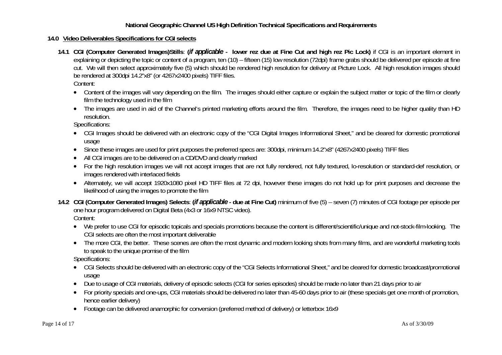#### **14.0 Video Deliverables Specifications for CGI selects**

- **14.1 CGI (Computer Generated Images)Stills**: **(***if applicable*  **lower rez due at Fine Cut and high rez Pic Lock)** if CGI is an important element in explaining or depicting the topic or content of a program, ten (10) – fifteen (15) low resolution (72dpi) frame grabs should be delivered per episode at fine cut. We will then select approximately five (5) which should be rendered high resolution for delivery at Picture Lock. All high resolution images should be rendered at 300dpi 14.2"x8" (or 4267x2400 pixels) TIFF files. Content:
	- Content of the images will vary depending on the film. The images should either capture or explain the subject matter or topic of the film or clearly film the technology used in the film
	- The images are used in aid of the Channel's printed marketing efforts around the film. Therefore, the images need to be higher quality than HD resolution.

Specifications:

- CGI Images should be delivered with an electronic copy of the "CGI Digital Images Informational Sheet," and be cleared for domestic promotional usage
- Since these images are used for print purposes the preferred specs are: 300dpi, minimum 14.2"x8" (4267x2400 pixels) TIFF files
- •All CGI images are to be delivered on a CD/DVD and clearly marked
- For the high resolution images we will not accept images that are not fully rendered, not fully textured, lo-resolution or standard-def resolution, or images rendered with interlaced fields
- Alternately, we will accept 1920x1080 pixel HD TIFF files at 72 dpi, however these images do not hold up for print purposes and decrease the likelihood of using the images to promote the film
- **14.2 CGI (Computer Generated Images) Selects**: **(***if applicable* **due at Fine Cut)** minimum of five (5) seven (7) minutes of CGI footage per episode per one hour program delivered on Digital Beta (4x3 or 16x9 NTSC video). Content:
	- We prefer to use CGI for episodic topicals and specials promotions because the content is different/scientific/unique and not-stock-film-looking. The CGI selects are often the most important deliverable
	- The more CGI, the better. These scenes are often the most dynamic and modern looking shots from many films, and are wonderful marketing tools to speak to the unique promise of the film

Specifications:

- CGI Selects should be delivered with an electronic copy of the "CGI Selects Informational Sheet," and be cleared for domestic broadcast/promotional usage
- Due to usage of CGI materials, delivery of episodic selects (CGI for series episodes) should be made no later than 21 days prior to air
- For priority specials and one-ups, CGI materials should be delivered no later than 45-60 days prior to air (these specials get one month of promotion, hence earlier delivery)
- Footage can be delivered anamorphic for conversion (preferred method of delivery) or letterbox 16x9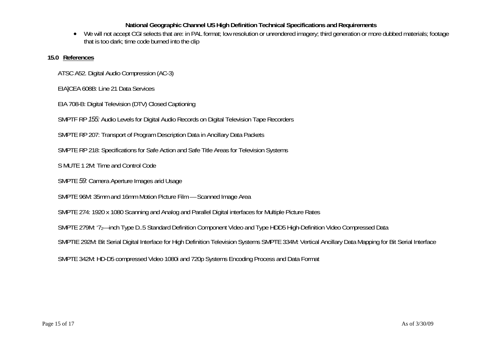•We will not accept CGI selects that are: in PAL format; low resolution or unrendered imagery; third generation or more dubbed materials; footage that is too dark; time code burned into the clip

## **15.0 References**

ATSC A52. Digital Audio Compression (AC-3)

EIA]CEA 608B: Line 21 Data Services

EIA 708-B: Digital Television (DTV) Closed Captioning

SMPTF RP *155:* Audio Levels for Digital Audio Records on Digital Television Tape Recorders

SMPTE RP 207: Transport of Program Description Data in Ancillary Data Packets

SMPTE RP 218: Specifications for Safe Action and Safe Title Areas for Television Systems

S MUTE 1 2M: Time and Control Code

SMPTE *59:* Camera Aperture Images arid Usage

SMPTE 96M: 35mm and 16mm Motion Picture Film — Scanned Image Area

SMPTE 274: 1920 x 1080 Scanning and Analog and Parallel Digital interfaces for Multiple Picture Rates

SMPTE 279M: '72—inch Type D..5 Standard Definition Component Video and Type HDD5 High-Definition Video Compressed Data

SMPTIE 292M: Bit Serial Digital Interface for High Definition Television Systems SMPTE 334M: Vertical Ancillary Data Mapping for Bit Serial Interface

SMPTE 342M: HD-D5 compressed Video 1080i and 720p Systems Encoding Process and Data Format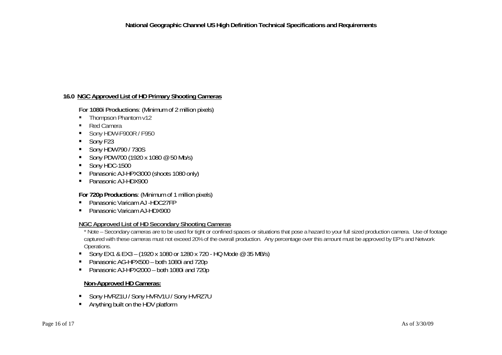## **16.0 NGC Approved List of HD Primary Shooting Cameras**

**For 1080i Productions**: (Minimum of 2 million pixels)

- Thompson Phantom v12
- Red Camera
- Sony HDW-F900R / F950
- Sony F23
- Sony HDW790 / 730S
- Sony PDW700 (1920 x 1080  $@$  50 Mb/s)
- Sony HDC-1500
- Panasonic AJ-HPX3000 (shoots 1080 only)
- Panasonic AJ-HDX900

#### **For 720p Productions**: (Minimum of 1 million pixels)

- Panasonic Varicam AJ -HDC27FP
- Panasonic Varicam AJ-HDX900

#### **NGC Approved List of HD Secondary Shooting Cameras**

\* Note – Secondary cameras are to be used for tight or confined spaces or situations that pose a hazard to your full sized production camera. Use of footage captured with these cameras must not exceed 20% of the overall production. Any percentage over this amount must be approved by EP's and Network Operations.

- Sony EX1 & EX3 (1920 x 1080 or 1280 x 720 HQ Mode @ 35 MB/s)
- Panasonic AG-HPX500 both 1080i and 720p
- Panasonic AJ-HPX2000 both 1080i and 720p

#### **Non-Approved HD Cameras:**

- Sony HVRZ1U / Sony HVRV1U / Sony HVRZ7U
- **Anything built on the HDV platform**